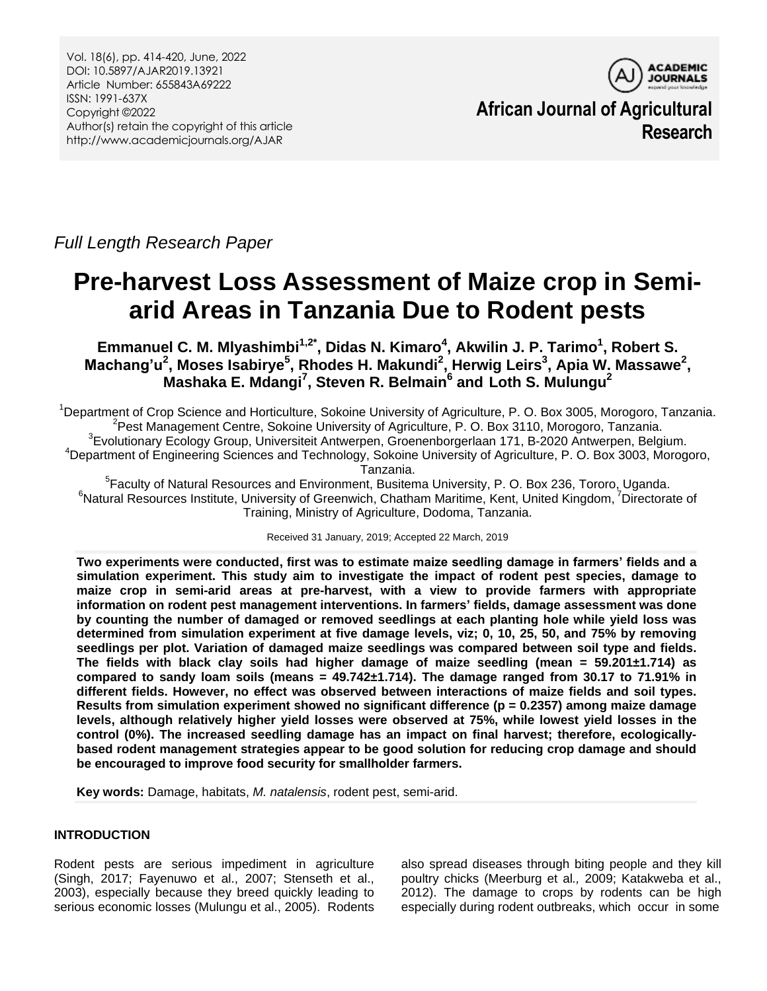Vol. 18(6), pp. 414-420, June, 2022 DOI: 10.5897/AJAR2019.13921 Article Number: 655843A69222 ISSN: 1991-637X Copyright ©2022 Author(s) retain the copyright of this article http://www.academicjournals.org/AJAR



**African Journal of Agricultural Research**

*Full Length Research Paper*

# **Pre-harvest Loss Assessment of Maize crop in Semiarid Areas in Tanzania Due to Rodent pests**

**Emmanuel C. M. Mlyashimbi1,2\* , Didas N. Kimaro<sup>4</sup> , Akwilin J. P. Tarimo<sup>1</sup> , Robert S. Machang'u<sup>2</sup> , Moses Isabirye<sup>5</sup> , Rhodes H. Makundi<sup>2</sup> , Herwig Leirs<sup>3</sup> , Apia W. Massawe<sup>2</sup> , Mashaka E. Mdangi<sup>7</sup> , Steven R. Belmain<sup>6</sup> and Loth S. Mulungu<sup>2</sup>**

<sup>1</sup>Department of Crop Science and Horticulture, Sokoine University of Agriculture, P. O. Box 3005, Morogoro, Tanzania. <sup>2</sup>Pest Management Centre, Sokoine University of Agriculture, P. O. Box 3110, Morogoro, Tanzania. <sup>3</sup>Evolutionary Ecology Group, Universiteit Antwerpen, Groenenborgerlaan 171, B-2020 Antwerpen, Belgium. <sup>4</sup>Department of Engineering Sciences and Technology, Sokoine University of Agriculture, P. O. Box 3003, Morogoro, Tanzania.

<sup>5</sup>Faculty of Natural Resources and Environment, Busitema University, P. O. Box 236, Tororo, Uganda.  ${}^6$ Natural Resources Institute, University of Greenwich, Chatham Maritime, Kent, United Kingdom, <sup>7</sup>Directorate of Training, Ministry of Agriculture, Dodoma, Tanzania.

Received 31 January, 2019; Accepted 22 March, 2019

**Two experiments were conducted, first was to estimate maize seedling damage in farmers' fields and a simulation experiment. This study aim to investigate the impact of rodent pest species, damage to maize crop in semi-arid areas at pre-harvest, with a view to provide farmers with appropriate information on rodent pest management interventions. In farmers' fields, damage assessment was done by counting the number of damaged or removed seedlings at each planting hole while yield loss was determined from simulation experiment at five damage levels, viz; 0, 10, 25, 50, and 75% by removing seedlings per plot. Variation of damaged maize seedlings was compared between soil type and fields. The fields with black clay soils had higher damage of maize seedling (mean = 59.201±1.714) as compared to sandy loam soils (means = 49.742±1.714). The damage ranged from 30.17 to 71.91% in different fields. However, no effect was observed between interactions of maize fields and soil types. Results from simulation experiment showed no significant difference (p = 0.2357) among maize damage levels, although relatively higher yield losses were observed at 75%, while lowest yield losses in the control (0%). The increased seedling damage has an impact on final harvest; therefore, ecologicallybased rodent management strategies appear to be good solution for reducing crop damage and should be encouraged to improve food security for smallholder farmers.**

**Key words:** Damage, habitats, *M. natalensis*, rodent pest, semi-arid.

# **INTRODUCTION**

Rodent pests are serious impediment in agriculture (Singh, 2017; Fayenuwo et al., 2007; Stenseth et al., 2003), especially because they breed quickly leading to serious economic losses (Mulungu et al., 2005). Rodents

also spread diseases through biting people and they kill poultry chicks (Meerburg et al*.,* 2009; Katakweba et al., 2012). The damage to crops by rodents can be high especially during rodent outbreaks, which occur in some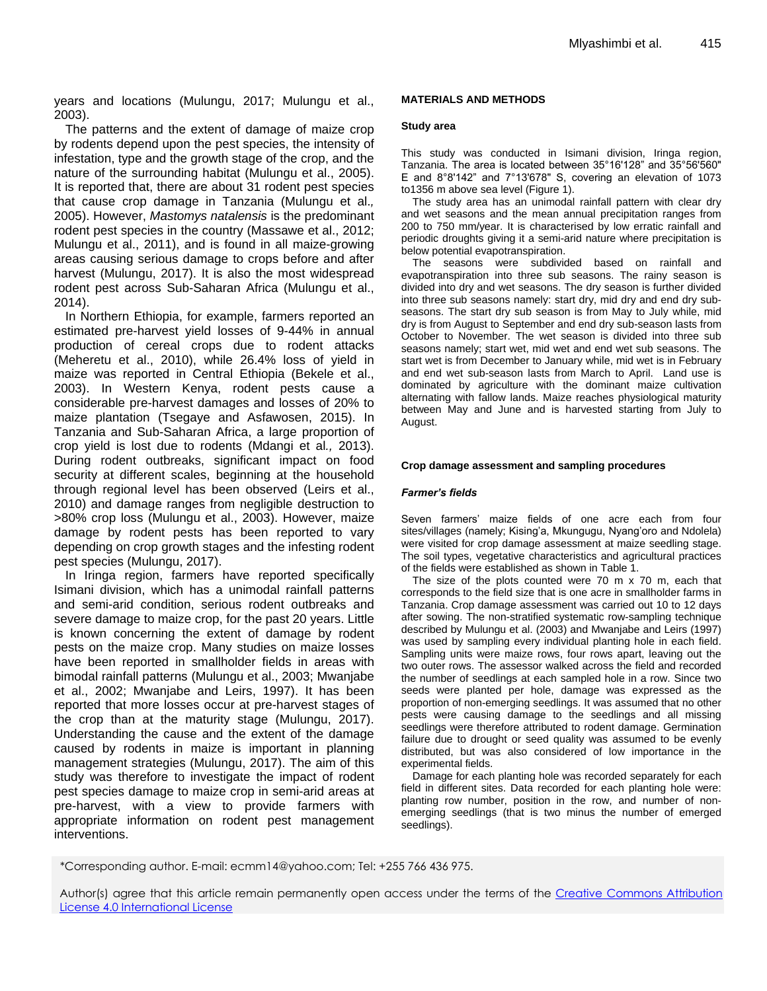years and locations (Mulungu, 2017; Mulungu et al., 2003).

The patterns and the extent of damage of maize crop by rodents depend upon the pest species, the intensity of infestation, type and the growth stage of the crop, and the nature of the surrounding habitat (Mulungu et al., 2005). It is reported that, there are about 31 rodent pest species that cause crop damage in Tanzania (Mulungu et al.*,* 2005). However, *Mastomys natalensis* is the predominant rodent pest species in the country (Massawe et al., 2012; Mulungu et al., 2011), and is found in all maize-growing areas causing serious damage to crops before and after harvest (Mulungu, 2017). It is also the most widespread rodent pest across Sub-Saharan Africa (Mulungu et al., 2014).

In Northern Ethiopia, for example, farmers reported an estimated pre-harvest yield losses of 9-44% in annual production of cereal crops due to rodent attacks (Meheretu et al., 2010), while 26.4% loss of yield in maize was reported in Central Ethiopia (Bekele et al., 2003). In Western Kenya, rodent pests cause a considerable pre-harvest damages and losses of 20% to maize plantation (Tsegaye and Asfawosen, 2015). In Tanzania and Sub-Saharan Africa, a large proportion of crop yield is lost due to rodents (Mdangi et al*.,* 2013). During rodent outbreaks, significant impact on food security at different scales, beginning at the household through regional level has been observed (Leirs et al., 2010) and damage ranges from negligible destruction to >80% crop loss (Mulungu et al., 2003). However, maize damage by rodent pests has been reported to vary depending on crop growth stages and the infesting rodent pest species (Mulungu, 2017).

In Iringa region, farmers have reported specifically Isimani division, which has a unimodal rainfall patterns and semi-arid condition, serious rodent outbreaks and severe damage to maize crop, for the past 20 years. Little is known concerning the extent of damage by rodent pests on the maize crop. Many studies on maize losses have been reported in smallholder fields in areas with bimodal rainfall patterns (Mulungu et al., 2003; Mwanjabe et al., 2002; Mwanjabe and Leirs, 1997). It has been reported that more losses occur at pre-harvest stages of the crop than at the maturity stage (Mulungu, 2017). Understanding the cause and the extent of the damage caused by rodents in maize is important in planning management strategies (Mulungu, 2017). The aim of this study was therefore to investigate the impact of rodent pest species damage to maize crop in semi-arid areas at pre-harvest, with a view to provide farmers with appropriate information on rodent pest management interventions.

## **MATERIALS AND METHODS**

### **Study area**

This study was conducted in Isimani division, Iringa region, Tanzania. The area is located between 35°16'128" and 35°56'560" E and 8°8'142" and 7°13'678" S, covering an elevation of 1073 to1356 m above sea level (Figure 1).

The study area has an unimodal rainfall pattern with clear dry and wet seasons and the mean annual precipitation ranges from 200 to 750 mm/year. It is characterised by low erratic rainfall and periodic droughts giving it a semi-arid nature where precipitation is below potential evapotranspiration.

The seasons were subdivided based on rainfall and evapotranspiration into three sub seasons. The rainy season is divided into dry and wet seasons. The dry season is further divided into three sub seasons namely: start dry, mid dry and end dry subseasons. The start dry sub season is from May to July while, mid dry is from August to September and end dry sub-season lasts from October to November. The wet season is divided into three sub seasons namely; start wet, mid wet and end wet sub seasons. The start wet is from December to January while, mid wet is in February and end wet sub-season lasts from March to April. Land use is dominated by agriculture with the dominant maize cultivation alternating with fallow lands. Maize reaches physiological maturity between May and June and is harvested starting from July to August.

### **Crop damage assessment and sampling procedures**

#### *Farmer's fields*

Seven farmers' maize fields of one acre each from four sites/villages (namely; Kising'a, Mkungugu, Nyang'oro and Ndolela) were visited for crop damage assessment at maize seedling stage. The soil types, vegetative characteristics and agricultural practices of the fields were established as shown in Table 1.

The size of the plots counted were 70 m x 70 m, each that corresponds to the field size that is one acre in smallholder farms in Tanzania. Crop damage assessment was carried out 10 to 12 days after sowing. The non-stratified systematic row-sampling technique described by Mulungu et al. (2003) and Mwanjabe and Leirs (1997) was used by sampling every individual planting hole in each field. Sampling units were maize rows, four rows apart, leaving out the two outer rows. The assessor walked across the field and recorded the number of seedlings at each sampled hole in a row. Since two seeds were planted per hole, damage was expressed as the proportion of non-emerging seedlings. It was assumed that no other pests were causing damage to the seedlings and all missing seedlings were therefore attributed to rodent damage. Germination failure due to drought or seed quality was assumed to be evenly distributed, but was also considered of low importance in the experimental fields.

Damage for each planting hole was recorded separately for each field in different sites. Data recorded for each planting hole were: planting row number, position in the row, and number of nonemerging seedlings (that is two minus the number of emerged seedlings).

<sup>\*</sup>Corresponding author. E-mail: ecmm14@yahoo.com; Tel: +255 766 436 975.

Author(s) agree that this article remain permanently open access under the terms of the Creative Commons Attribution [License 4.0 International License](http://creativecommons.org/licenses/by/4.0/deed.en_US)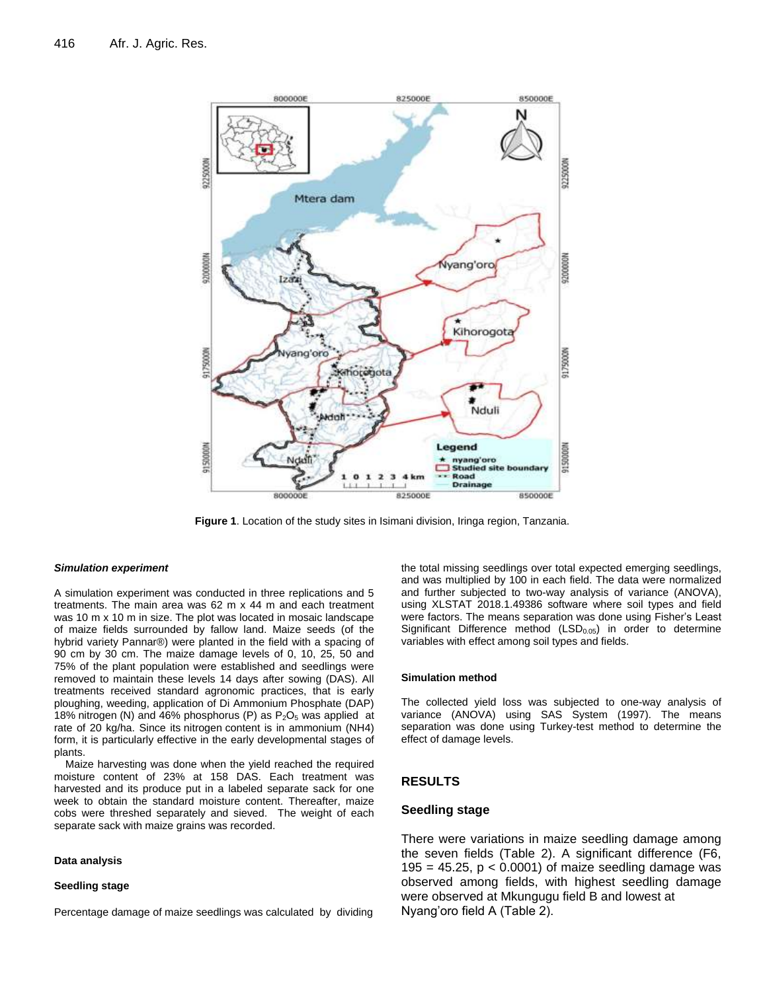

**Figure 1**. Location of the study sites in Isimani division, Iringa region, Tanzania.

### *Simulation experiment*

A simulation experiment was conducted in three replications and 5 treatments. The main area was 62 m x 44 m and each treatment was 10 m x 10 m in size. The plot was located in mosaic landscape of maize fields surrounded by fallow land. Maize seeds (of the hybrid variety Pannar®) were planted in the field with a spacing of 90 cm by 30 cm. The maize damage levels of 0, 10, 25, 50 and 75% of the plant population were established and seedlings were removed to maintain these levels 14 days after sowing (DAS). All treatments received standard agronomic practices, that is early ploughing, weeding, application of Di Ammonium Phosphate (DAP) 18% nitrogen (N) and 46% phosphorus (P) as  $P_2O_5$  was applied at rate of 20 kg/ha. Since its nitrogen content is in ammonium (NH4) form, it is particularly effective in the early developmental stages of plants.

Maize harvesting was done when the yield reached the required moisture content of 23% at 158 DAS. Each treatment was harvested and its produce put in a labeled separate sack for one week to obtain the standard moisture content. Thereafter, maize cobs were threshed separately and sieved. The weight of each separate sack with maize grains was recorded.

### **Data analysis**

# **Seedling stage**

Percentage damage of maize seedlings was calculated by dividing

the total missing seedlings over total expected emerging seedlings, and was multiplied by 100 in each field. The data were normalized and further subjected to two-way analysis of variance (ANOVA), using XLSTAT 2018.1.49386 software where soil types and field were factors. The means separation was done using Fisher's Least Significant Difference method (LSD<sub>0.05</sub>) in order to determine variables with effect among soil types and fields.

## **Simulation method**

The collected yield loss was subjected to one-way analysis of variance (ANOVA) using SAS System (1997). The means separation was done using Turkey-test method to determine the effect of damage levels.

# **RESULTS**

## **Seedling stage**

There were variations in maize seedling damage among the seven fields (Table 2). A significant difference (F6, 195 = 45.25,  $p < 0.0001$ ) of maize seedling damage was observed among fields, with highest seedling damage were observed at Mkungugu field B and lowest at Nyang'oro field A (Table 2).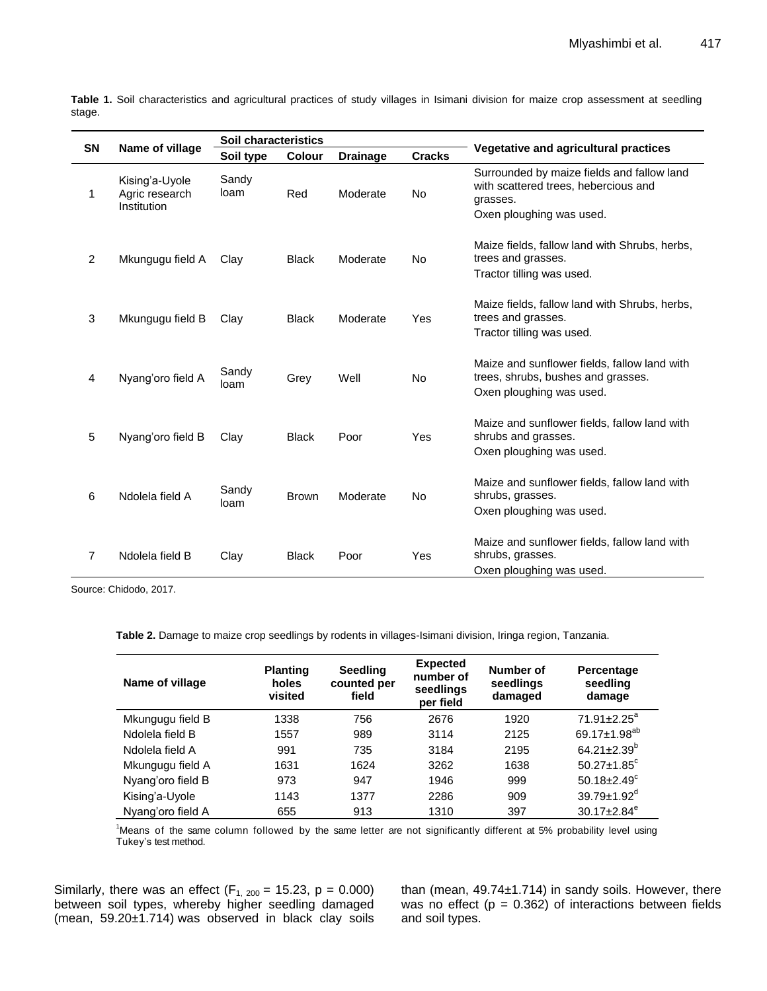| <b>SN</b>      | Name of village                                 | Soil characteristics |              |                 |               |                                                                                                                            |  |
|----------------|-------------------------------------------------|----------------------|--------------|-----------------|---------------|----------------------------------------------------------------------------------------------------------------------------|--|
|                |                                                 | Soil type            | Colour       | <b>Drainage</b> | <b>Cracks</b> | Vegetative and agricultural practices                                                                                      |  |
| 1              | Kising'a-Uyole<br>Agric research<br>Institution | Sandy<br>loam        | Red          | Moderate        | No.           | Surrounded by maize fields and fallow land<br>with scattered trees, hebercious and<br>grasses.<br>Oxen ploughing was used. |  |
| $\overline{2}$ | Mkungugu field A                                | Clay                 | <b>Black</b> | Moderate        | No            | Maize fields, fallow land with Shrubs, herbs,<br>trees and grasses.<br>Tractor tilling was used.                           |  |
| $\mathbf{3}$   | Mkungugu field B                                | Clay                 | <b>Black</b> | Moderate        | Yes           | Maize fields, fallow land with Shrubs, herbs,<br>trees and grasses.<br>Tractor tilling was used.                           |  |
| $\overline{4}$ | Nyang'oro field A                               | Sandy<br>loam        | Grey         | Well            | <b>No</b>     | Maize and sunflower fields, fallow land with<br>trees, shrubs, bushes and grasses.<br>Oxen ploughing was used.             |  |
| 5              | Nyang'oro field B                               | Clay                 | <b>Black</b> | Poor            | Yes           | Maize and sunflower fields, fallow land with<br>shrubs and grasses.<br>Oxen ploughing was used.                            |  |
| 6              | Ndolela field A                                 | Sandy<br>loam        | <b>Brown</b> | Moderate        | <b>No</b>     | Maize and sunflower fields, fallow land with<br>shrubs, grasses.<br>Oxen ploughing was used.                               |  |
| $\overline{7}$ | Ndolela field B                                 | Clay                 | <b>Black</b> | Poor            | Yes           | Maize and sunflower fields, fallow land with<br>shrubs, grasses.<br>Oxen ploughing was used.                               |  |

**Table 1.** Soil characteristics and agricultural practices of study villages in Isimani division for maize crop assessment at seedling stage.

Source: Chidodo, 2017.

**Table 2.** Damage to maize crop seedlings by rodents in villages-Isimani division, Iringa region, Tanzania.

| Name of village   | <b>Planting</b><br>holes<br>visited | <b>Seedling</b><br>counted per<br>field | <b>Expected</b><br>number of<br>seedlings<br>per field | Number of<br>seedlings<br>damaged | Percentage<br>seedling<br>damage |
|-------------------|-------------------------------------|-----------------------------------------|--------------------------------------------------------|-----------------------------------|----------------------------------|
| Mkungugu field B  | 1338                                | 756                                     | 2676                                                   | 1920                              | $71.91 \pm 2.25^a$               |
| Ndolela field B   | 1557                                | 989                                     | 3114                                                   | 2125                              | 69.17 $\pm$ 1.98 <sup>ab</sup>   |
| Ndolela field A   | 991                                 | 735                                     | 3184                                                   | 2195                              | 64.21 $\pm$ 2.39 <sup>b</sup>    |
| Mkungugu field A  | 1631                                | 1624                                    | 3262                                                   | 1638                              | $50.27 \pm 1.85$ <sup>c</sup>    |
| Nyang'oro field B | 973                                 | 947                                     | 1946                                                   | 999                               | 50.18 $\pm$ 2.49 $\textdegree$   |
| Kising'a-Uyole    | 1143                                | 1377                                    | 2286                                                   | 909                               | $39.79 \pm 1.92$ <sup>d</sup>    |
| Nyang'oro field A | 655                                 | 913                                     | 1310                                                   | 397                               | $30.17 \pm 2.84$ <sup>e</sup>    |

<sup>1</sup>Means of the same column followed by the same letter are not significantly different at 5% probability level using Tukey's test method.

Similarly, there was an effect  $(F_{1, 200} = 15.23, p = 0.000)$ between soil types, whereby higher seedling damaged (mean, 59.20±1.714) was observed in black clay soils

than (mean, 49.74±1.714) in sandy soils. However, there was no effect ( $p = 0.362$ ) of interactions between fields and soil types.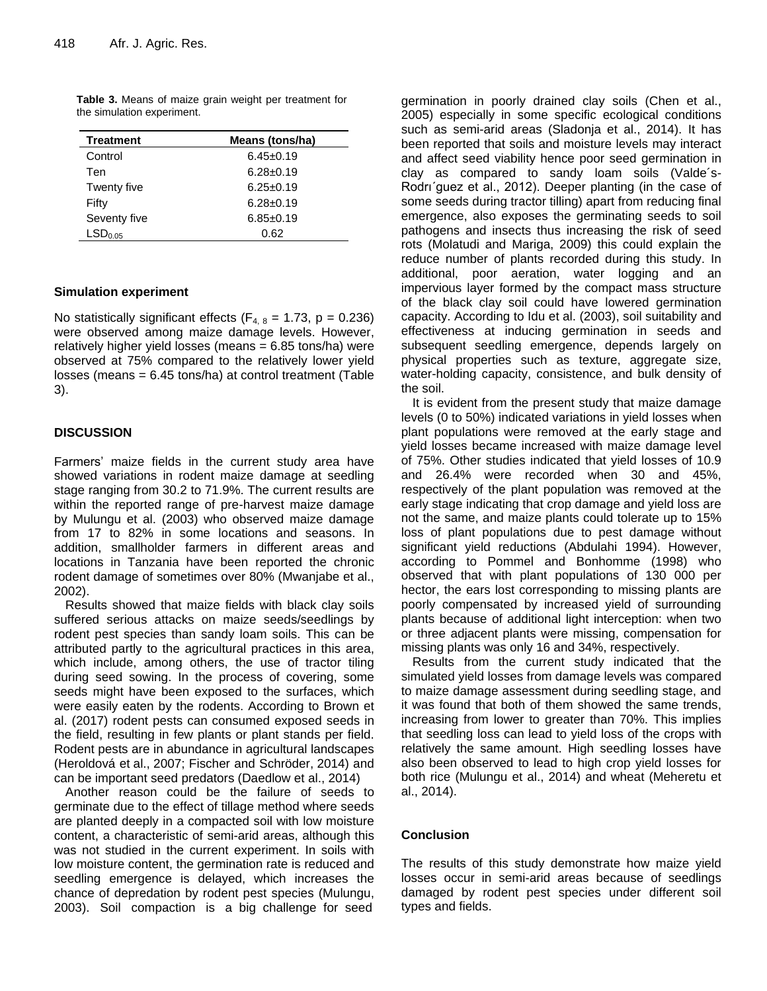| <b>Treatment</b>    | Means (tons/ha) |  |  |
|---------------------|-----------------|--|--|
| Control             | $6.45 \pm 0.19$ |  |  |
| Ten                 | $6.28 \pm 0.19$ |  |  |
| Twenty five         | $6.25 \pm 0.19$ |  |  |
| Fifty               | $6.28 \pm 0.19$ |  |  |
| Seventy five        | $6.85 \pm 0.19$ |  |  |
| LSD <sub>0.05</sub> | 0.62            |  |  |

**Table 3.** Means of maize grain weight per treatment for the simulation experiment.

# **Simulation experiment**

No statistically significant effects ( $F_{4, 8} = 1.73$ , p = 0.236) were observed among maize damage levels. However, relatively higher yield losses (means = 6.85 tons/ha) were observed at 75% compared to the relatively lower yield losses (means = 6.45 tons/ha) at control treatment (Table 3).

# **DISCUSSION**

Farmers' maize fields in the current study area have showed variations in rodent maize damage at seedling stage ranging from 30.2 to 71.9%. The current results are within the reported range of pre-harvest maize damage by Mulungu et al. (2003) who observed maize damage from 17 to 82% in some locations and seasons. In addition, smallholder farmers in different areas and locations in Tanzania have been reported the chronic rodent damage of sometimes over 80% (Mwanjabe et al., 2002).

Results showed that maize fields with black clay soils suffered serious attacks on maize seeds/seedlings by rodent pest species than sandy loam soils. This can be attributed partly to the agricultural practices in this area, which include, among others, the use of tractor tiling during seed sowing. In the process of covering, some seeds might have been exposed to the surfaces, which were easily eaten by the rodents. According to Brown et al. (2017) rodent pests can consumed exposed seeds in the field, resulting in few plants or plant stands per field. Rodent pests are in abundance in agricultural landscapes (Heroldová et al., 2007; Fischer and Schröder, 2014) and can be important seed predators (Daedlow et al., 2014)

Another reason could be the failure of seeds to germinate due to the effect of tillage method where seeds are planted deeply in a compacted soil with low moisture content, a characteristic of semi-arid areas, although this was not studied in the current experiment. In soils with low moisture content, the germination rate is reduced and seedling emergence is delayed, which increases the chance of depredation by rodent pest species (Mulungu, 2003). Soil compaction is a big challenge for seed

germination in poorly drained clay soils (Chen et al., 2005) especially in some specific ecological conditions such as semi-arid areas (Sladonja et al., 2014). It has been reported that soils and moisture levels may interact and affect seed viability hence poor seed germination in clay as compared to sandy loam soils (Valde´s-Rodrı´guez et al., 2012). Deeper planting (in the case of some seeds during tractor tilling) apart from reducing final emergence, also exposes the germinating seeds to soil pathogens and insects thus increasing the risk of seed rots (Molatudi and Mariga, 2009) this could explain the reduce number of plants recorded during this study. In additional, poor aeration, water logging and an impervious layer formed by the compact mass structure of the black clay soil could have lowered germination capacity. According to Idu et al. (2003), soil suitability and effectiveness at inducing germination in seeds and subsequent seedling emergence, depends largely on physical properties such as texture, aggregate size, water-holding capacity, consistence, and bulk density of the soil.

It is evident from the present study that maize damage levels (0 to 50%) indicated variations in yield losses when plant populations were removed at the early stage and yield losses became increased with maize damage level of 75%. Other studies indicated that yield losses of 10.9 and 26.4% were recorded when 30 and 45%, respectively of the plant population was removed at the early stage indicating that crop damage and yield loss are not the same, and maize plants could tolerate up to 15% loss of plant populations due to pest damage without significant yield reductions (Abdulahi 1994). However, according to Pommel and Bonhomme (1998) who observed that with plant populations of 130 000 per hector, the ears lost corresponding to missing plants are poorly compensated by increased yield of surrounding plants because of additional light interception: when two or three adjacent plants were missing, compensation for missing plants was only 16 and 34%, respectively.

Results from the current study indicated that the simulated yield losses from damage levels was compared to maize damage assessment during seedling stage, and it was found that both of them showed the same trends, increasing from lower to greater than 70%. This implies that seedling loss can lead to yield loss of the crops with relatively the same amount. High seedling losses have also been observed to lead to high crop yield losses for both rice (Mulungu et al., 2014) and wheat (Meheretu et al., 2014).

# **Conclusion**

The results of this study demonstrate how maize yield losses occur in semi-arid areas because of seedlings damaged by rodent pest species under different soil types and fields.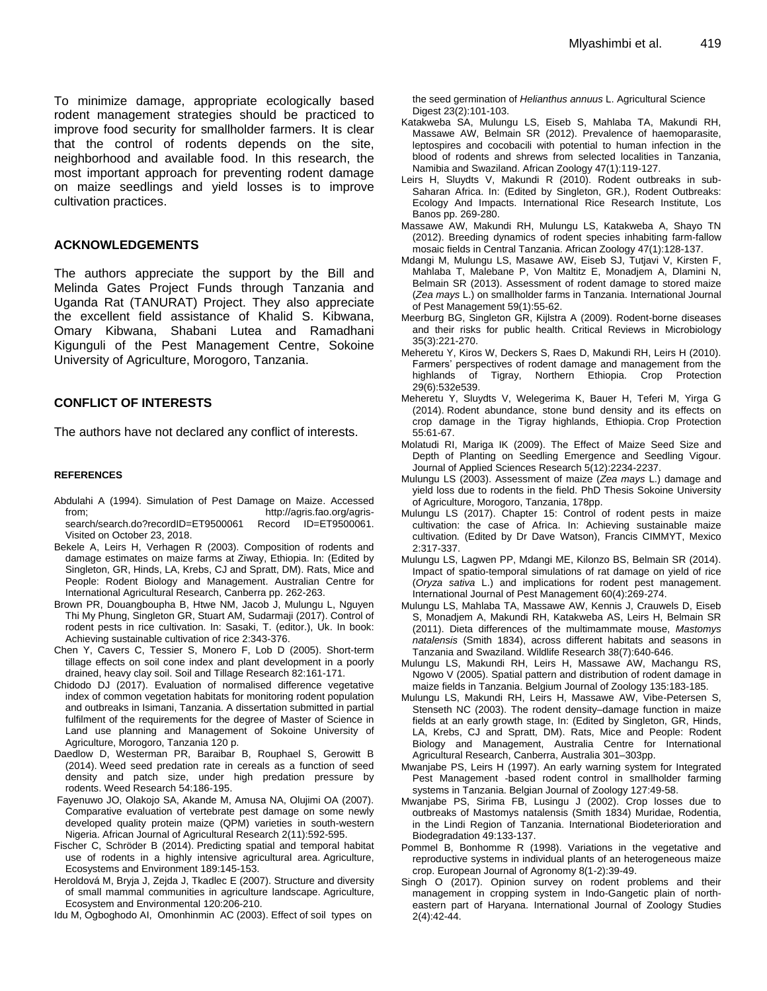To minimize damage, appropriate ecologically based rodent management strategies should be practiced to improve food security for smallholder farmers. It is clear that the control of rodents depends on the site, neighborhood and available food. In this research, the most important approach for preventing rodent damage on maize seedlings and yield losses is to improve cultivation practices.

## **ACKNOWLEDGEMENTS**

The authors appreciate the support by the Bill and Melinda Gates Project Funds through Tanzania and Uganda Rat (TANURAT) Project. They also appreciate the excellent field assistance of Khalid S. Kibwana, Omary Kibwana, Shabani Lutea and Ramadhani Kigunguli of the Pest Management Centre, Sokoine University of Agriculture, Morogoro, Tanzania.

# **CONFLICT OF INTERESTS**

The authors have not declared any conflict of interests.

## **REFERENCES**

- Abdulahi A (1994). Simulation of Pest Damage on Maize. Accessed from; http://agris.fao.org/agrissearch/search.do?recordID=ET9500061 Record ID=ET9500061. Visited on October 23, 2018.
- Bekele A, Leirs H, Verhagen R (2003). Composition of rodents and damage estimates on maize farms at Ziway, Ethiopia. In: (Edited by Singleton, GR, Hinds, LA, Krebs, CJ and Spratt, DM). Rats, Mice and People: Rodent Biology and Management. Australian Centre for International Agricultural Research, Canberra pp. 262-263.
- Brown PR, Douangboupha B, Htwe NM, Jacob J, Mulungu L, Nguyen Thi My Phung, Singleton GR, Stuart AM, Sudarmaji (2017). Control of rodent pests in rice cultivation. In: Sasaki, T. (editor.), Uk. In book: Achieving sustainable cultivation of rice 2:343-376.
- Chen Y, Cavers C, Tessier S, Monero F, Lob D (2005). Short-term tillage effects on soil cone index and plant development in a poorly drained, heavy clay soil. Soil and Tillage Research 82:161-171.
- Chidodo DJ (2017). Evaluation of normalised difference vegetative index of common vegetation habitats for monitoring rodent population and outbreaks in Isimani, Tanzania. A dissertation submitted in partial fulfilment of the requirements for the degree of Master of Science in Land use planning and Management of Sokoine University of Agriculture, Morogoro, Tanzania 120 p.
- Daedlow D, Westerman PR, Baraibar B, Rouphael S, Gerowitt B (2014). Weed seed predation rate in cereals as a function of seed density and patch size, under high predation pressure by rodents. Weed Research 54:186-195.
- Fayenuwo JO, Olakojo SA, Akande M, Amusa NA, Olujimi OA (2007). Comparative evaluation of vertebrate pest damage on some newly developed quality protein maize (QPM) varieties in south-western Nigeria. African Journal of Agricultural Research 2(11):592-595.
- Fischer C, Schröder B (2014). Predicting spatial and temporal habitat use of rodents in a highly intensive agricultural area. Agriculture, Ecosystems and Environment 189:145-153.
- Heroldová M, Bryja J, Zejda J, Tkadlec E (2007). Structure and diversity of small mammal communities in agriculture landscape. Agriculture, Ecosystem and Environmental 120:206-210.

Idu M, Ogboghodo AI, Omonhinmin AC (2003). Effect of soil types on

the seed germination of *Helianthus annuus* L. Agricultural Science Digest 23(2):101-103.

- Katakweba SA, Mulungu LS, Eiseb S, Mahlaba TA, Makundi RH, Massawe AW, Belmain SR (2012). Prevalence of haemoparasite, leptospires and cocobacili with potential to human infection in the blood of rodents and shrews from selected localities in Tanzania, Namibia and Swaziland. African Zoology 47(1):119-127.
- Leirs H, Sluydts V, Makundi R (2010). Rodent outbreaks in sub-Saharan Africa. In: (Edited by Singleton, GR.), Rodent Outbreaks: Ecology And Impacts. International Rice Research Institute, Los Banos pp. 269-280.
- Massawe AW, Makundi RH, Mulungu LS, Katakweba A, Shayo TN (2012). Breeding dynamics of rodent species inhabiting farm-fallow mosaic fields in Central Tanzania. African Zoology 47(1):128-137.
- Mdangi M, Mulungu LS, Masawe AW, Eiseb SJ, Tutjavi V, Kirsten F, Mahlaba T, Malebane P, Von Maltitz E, Monadjem A, Dlamini N, Belmain SR (2013). Assessment of rodent damage to stored maize (*Zea mays* L.) on smallholder farms in Tanzania. International Journal of Pest Management 59(1):55-62.
- Meerburg BG, Singleton GR, Kijlstra A (2009). Rodent-borne diseases and their risks for public health. Critical Reviews in Microbiology 35(3):221-270.
- Meheretu Y, Kiros W, Deckers S, Raes D, Makundi RH, Leirs H (2010). Farmers' perspectives of rodent damage and management from the highlands of Tigray, Northern Ethiopia. Crop Protection 29(6):532e539.
- Meheretu Y, Sluydts V, Welegerima K, Bauer H, Teferi M, Yirga G (2014). Rodent abundance, stone bund density and its effects on crop damage in the Tigray highlands, Ethiopia. Crop Protection 55:61-67.
- Molatudi RI, Mariga IK (2009). The Effect of Maize Seed Size and Depth of Planting on Seedling Emergence and Seedling Vigour. Journal of Applied Sciences Research 5(12):2234-2237.
- Mulungu LS (2003). Assessment of maize (*Zea mays* L.) damage and yield loss due to rodents in the field. PhD Thesis Sokoine University of Agriculture, Morogoro, Tanzania, 178pp.
- Mulungu LS (2017). Chapter 15: Control of rodent pests in maize cultivation: the case of Africa. In: Achieving sustainable maize cultivation*.* (Edited by Dr Dave Watson), Francis CIMMYT, Mexico 2:317-337.
- Mulungu LS, Lagwen PP, Mdangi ME, Kilonzo BS, Belmain SR (2014). Impact of spatio-temporal simulations of rat damage on yield of rice (*Oryza sativa* L.) and implications for rodent pest management. International Journal of Pest Management 60(4):269-274.
- Mulungu LS, Mahlaba TA, Massawe AW, Kennis J, Crauwels D, Eiseb S, Monadjem A, Makundi RH, Katakweba AS, Leirs H, Belmain SR (2011). Dieta differences of the multimammate mouse, *Mastomys natalensis* (Smith 1834), across different habitats and seasons in Tanzania and Swaziland. Wildlife Research 38(7):640-646.
- Mulungu LS, Makundi RH, Leirs H, Massawe AW, Machangu RS, Ngowo V (2005). Spatial pattern and distribution of rodent damage in maize fields in Tanzania. Belgium Journal of Zoology 135:183-185.
- Mulungu LS, Makundi RH, Leirs H, Massawe AW, Vibe-Petersen S, Stenseth NC (2003). The rodent density–damage function in maize fields at an early growth stage, In: (Edited by Singleton, GR, Hinds, LA, Krebs, CJ and Spratt, DM). Rats, Mice and People: Rodent Biology and Management, Australia Centre for International Agricultural Research, Canberra, Australia 301–303pp.
- Mwanjabe PS, Leirs H (1997). An early warning system for Integrated Pest Management -based rodent control in smallholder farming systems in Tanzania. Belgian Journal of Zoology 127:49-58.
- Mwanjabe PS, Sirima FB, Lusingu J (2002). Crop losses due to outbreaks of Mastomys natalensis (Smith 1834) Muridae, Rodentia, in the Lindi Region of Tanzania. International Biodeterioration and Biodegradation 49:133-137.
- Pommel B, Bonhomme R (1998). Variations in the vegetative and reproductive systems in individual plants of an heterogeneous maize crop. European Journal of Agronomy 8(1-2):39-49.
- Singh O (2017). Opinion survey on rodent problems and their management in cropping system in Indo-Gangetic plain of northeastern part of Haryana. International Journal of Zoology Studies 2(4):42-44.